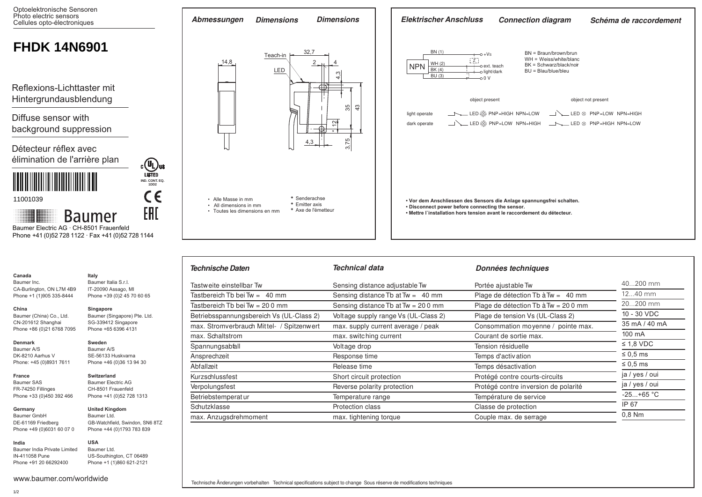

| Technische Daten                          | Technical data                         | Données techniques                   |                |
|-------------------------------------------|----------------------------------------|--------------------------------------|----------------|
| Tastweite einstellbar Tw                  | Sensing distance adjustable Tw         | Portée ajustable Tw                  | 40200 mm       |
| Tastbereich Tb bei Tw = $40 \text{ mm}$   | Sensing distance $Tb$ at $Tw = 40$ mm  | Plage de détection Tb à $Tw = 40$ mm | $1240$ mm      |
| Tastbereich Tb bei Tw = 20 0 mm           | Sensing distance $Tb$ at $Tw = 200$ mm | Plage de détection Tb à Tw = 200 mm  | 20200 mm       |
| Betriebsspannungsbereich Vs (UL-Class 2)  | Voltage supply range Vs (UL-Class 2)   | Plage de tension Vs (UL-Class 2)     | 10 - 30 VDC    |
| max. Stromverbrauch Mittel- / Spitzenwert | max. supply current average / peak     | Consommation moyenne / pointe max.   | 35 mA / 40 mA  |
| max. Schaltstrom                          | max. switching current                 | Courant de sortie max.               | 100 mA         |
| Spannungsabfall                           | Voltage drop                           | Tension résiduelle                   | $\leq$ 1,8 VDC |
| Ansprechzeit                              | Response time                          | Temps d'activation                   | $\leq 0.5$ ms  |
| Abfallzeit                                | Release time                           | Temps désactivation                  | $\leq 0.5$ ms  |
| Kurzschlussfest                           | Short circuit protection               | Protégé contre courts-circuits       | ja / yes / oui |
| Verpolungsfest                            | Reverse polarity protection            | Protégé contre inversion de polarité | ja / yes / oui |
| Betriebstemperatur                        | Temperature range                      | Température de service               | $-25+65$ °C    |
| Schutzklasse                              | Protection class                       | Classe de protection                 | IP 67          |
| max. Anzugsdrehmoment                     | max. tightening torque                 | Couple max. de serrage               | $0.8$ Nm       |

**Canada** Baumer Inc.

**China** 

**Denmark** Baumer A/S DK-8210 Aarhus V Phone: +45 (0)8931 7611

**France** Baumer SAS FR-74250 Fillinges Phone +33 (0)450 392 466

CA-Burlington, ON L7M 4B9 Phone +1 (1)905 335-8444

Baumer (China) Co., Ltd. CN-201612 Shanghai Phone +86 (0)21 6768 7095

**India** Baumer India Private Limited IN-411058 Pune Phone +91 20 66292400

Baumer Ltd. US-Southington, CT 06489 Phone +1 (1)860 621-2121

**USA**

**United Kingdom** Baumer Ltd.

GB-Watchfield, Swindon, SN6 8TZ Phone +44 (0)1793 783 839

**Italy** Baumer Italia S.r.l. IT-20090 Assago, MI Phone +39 (0)2 45 70 60 65

**Singapore**

**Sweden** Baumer A/S SE-56133 Huskvarna Phone +46 (0)36 13 94 30

**Switzerland** Baumer Electric AG CH-8501 Frauenfeld Phone +41 (0)52 728 1313

Baumer (Singapore) Pte. Ltd. SG-339412 Singapore Phone +65 6396 4131

www.baumer.com/worldwide